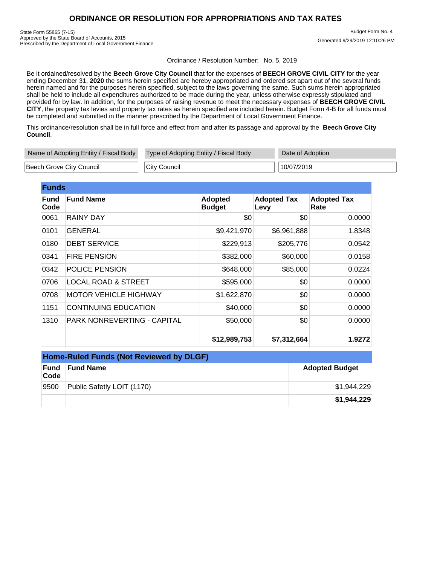## **ORDINANCE OR RESOLUTION FOR APPROPRIATIONS AND TAX RATES**

State Form 55865 (7-15) Approved by the State Board of Accounts, 2015 Prescribed by the Department of Local Government Finance

 Budget Form No. 4 Generated 9/29/2019 12:10:26 PM

Ordinance / Resolution Number: No. 5, 2019

Be it ordained/resolved by the **Beech Grove City Council** that for the expenses of **BEECH GROVE CIVIL CITY** for the year ending December 31, **2020** the sums herein specified are hereby appropriated and ordered set apart out of the several funds herein named and for the purposes herein specified, subject to the laws governing the same. Such sums herein appropriated shall be held to include all expenditures authorized to be made during the year, unless otherwise expressly stipulated and provided for by law. In addition, for the purposes of raising revenue to meet the necessary expenses of **BEECH GROVE CIVIL CITY**, the property tax levies and property tax rates as herein specified are included herein. Budget Form 4-B for all funds must be completed and submitted in the manner prescribed by the Department of Local Government Finance.

This ordinance/resolution shall be in full force and effect from and after its passage and approval by the **Beech Grove City Council**.

| Name of Adopting Entity / Fiscal Body | Type of Adopting Entity / Fiscal Body | Date of Adoption |  |
|---------------------------------------|---------------------------------------|------------------|--|
| Beech Grove City Council              | City Council                          | 10/07/2019       |  |

| <b>Funds</b>        |                                    |                                 |                            |                            |
|---------------------|------------------------------------|---------------------------------|----------------------------|----------------------------|
| <b>Fund</b><br>Code | <b>Fund Name</b>                   | <b>Adopted</b><br><b>Budget</b> | <b>Adopted Tax</b><br>Levy | <b>Adopted Tax</b><br>Rate |
| 0061                | <b>RAINY DAY</b>                   | \$0                             | \$0                        | 0.0000                     |
| 0101                | <b>GENERAL</b>                     | \$9,421,970                     | \$6,961,888                | 1.8348                     |
| 0180                | <b>DEBT SERVICE</b>                | \$229,913                       | \$205,776                  | 0.0542                     |
| 0341                | <b>FIRE PENSION</b>                | \$382,000                       | \$60,000                   | 0.0158                     |
| 0342                | POLICE PENSION                     | \$648,000                       | \$85,000                   | 0.0224                     |
| 0706                | <b>LOCAL ROAD &amp; STREET</b>     | \$595,000                       | \$0                        | 0.0000                     |
| 0708                | <b>MOTOR VEHICLE HIGHWAY</b>       | \$1,622,870                     | \$0                        | 0.0000                     |
| 1151                | <b>CONTINUING EDUCATION</b>        | \$40,000                        | \$0                        | 0.0000                     |
| 1310                | <b>PARK NONREVERTING - CAPITAL</b> | \$50,000                        | \$0                        | 0.0000                     |
|                     |                                    | \$12,989,753                    | \$7,312,664                | 1.9272                     |

| <b>Home-Ruled Funds (Not Reviewed by DLGF)</b> |                            |                       |  |
|------------------------------------------------|----------------------------|-----------------------|--|
| Fund<br>Code                                   | <b>Fund Name</b>           | <b>Adopted Budget</b> |  |
| 9500                                           | Public Safetly LOIT (1170) | \$1,944,229           |  |
|                                                |                            | \$1,944,229           |  |